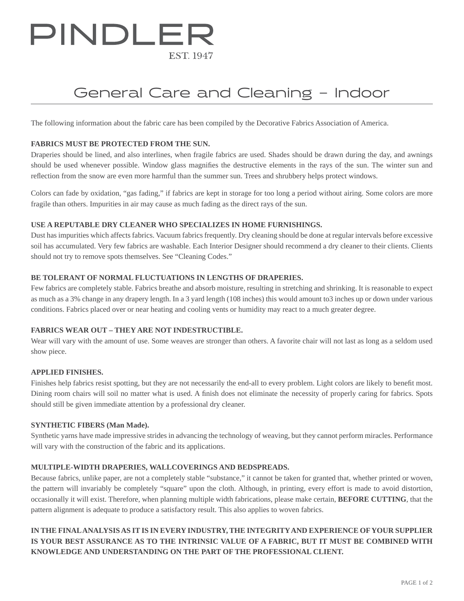# PINDLER **EST 1947**

### General Care and Cleaning – Indoor

The following information about the fabric care has been compiled by the Decorative Fabrics Association of America.

#### **FABRICS MUST BE PROTECTED FROM THE SUN.**

Draperies should be lined, and also interlines, when fragile fabrics are used. Shades should be drawn during the day, and awnings should be used whenever possible. Window glass magnifies the destructive elements in the rays of the sun. The winter sun and reflection from the snow are even more harmful than the summer sun. Trees and shrubbery helps protect windows.

Colors can fade by oxidation, "gas fading," if fabrics are kept in storage for too long a period without airing. Some colors are more fragile than others. Impurities in air may cause as much fading as the direct rays of the sun.

#### **USE A REPUTABLE DRY CLEANER WHO SPECIALIZES IN HOME FURNISHINGS.**

Dust has impurities which affects fabrics. Vacuum fabrics frequently. Dry cleaning should be done at regular intervals before excessive soil has accumulated. Very few fabrics are washable. Each Interior Designer should recommend a dry cleaner to their clients. Clients should not try to remove spots themselves. See "Cleaning Codes."

#### **BE TOLERANT OF NORMAL FLUCTUATIONS IN LENGTHS OF DRAPERIES.**

Few fabrics are completely stable. Fabrics breathe and absorb moisture, resulting in stretching and shrinking. It is reasonable to expect as much as a 3% change in any drapery length. In a 3 yard length (108 inches) this would amount to3 inches up or down under various conditions. Fabrics placed over or near heating and cooling vents or humidity may react to a much greater degree.

#### **FABRICS WEAR OUT – THEY ARE NOT INDESTRUCTIBLE.**

Wear will vary with the amount of use. Some weaves are stronger than others. A favorite chair will not last as long as a seldom used show piece.

#### **APPLIED FINISHES.**

Finishes help fabrics resist spotting, but they are not necessarily the end-all to every problem. Light colors are likely to benefit most. Dining room chairs will soil no matter what is used. A finish does not eliminate the necessity of properly caring for fabrics. Spots should still be given immediate attention by a professional dry cleaner.

#### **SYNTHETIC FIBERS (Man Made).**

Synthetic yarns have made impressive strides in advancing the technology of weaving, but they cannot perform miracles. Performance will vary with the construction of the fabric and its applications.

#### **MULTIPLE-WIDTH DRAPERIES, WALLCOVERINGS AND BEDSPREADS.**

Because fabrics, unlike paper, are not a completely stable "substance," it cannot be taken for granted that, whether printed or woven, the pattern will invariably be completely "square" upon the cloth. Although, in printing, every effort is made to avoid distortion, occasionally it will exist. Therefore, when planning multiple width fabrications, please make certain, **BEFORE CUTTING**, that the pattern alignment is adequate to produce a satisfactory result. This also applies to woven fabrics.

### **IN THE FINAL ANALYSIS AS IT IS IN EVERY INDUSTRY, THE INTEGRITY AND EXPERIENCE OF YOUR SUPPLIER IS YOUR BEST ASSURANCE AS TO THE INTRINSIC VALUE OF A FABRIC, BUT IT MUST BE COMBINED WITH KNOWLEDGE AND UNDERSTANDING ON THE PART OF THE PROFESSIONAL CLIENT.**